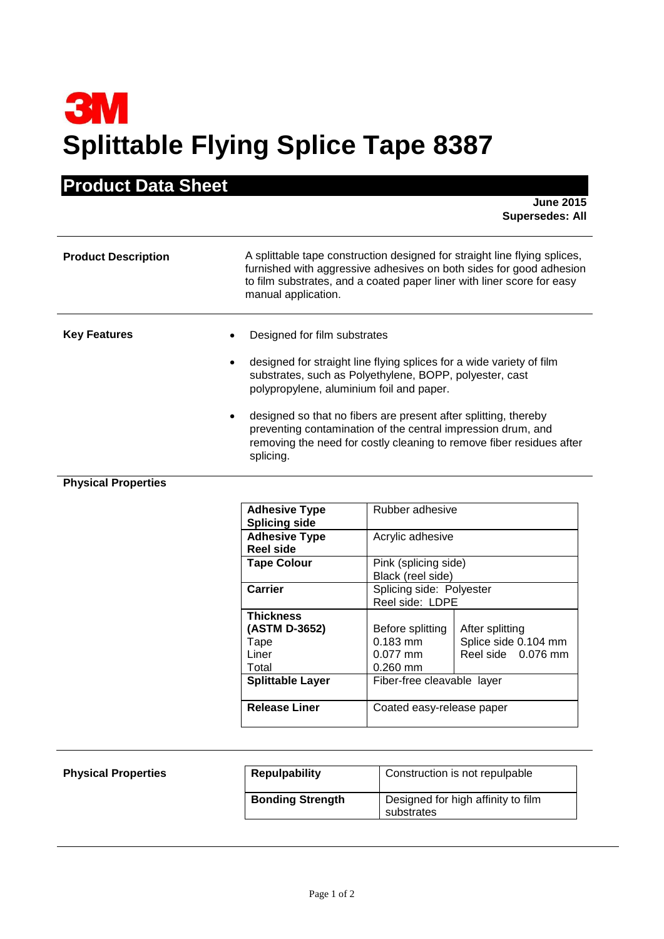## **3M Splittable Flying Splice Tape 8387**

## **Product Data Sheet**

**June 2015 Supersedes: All**

| <b>Product Description</b> | A splittable tape construction designed for straight line flying splices,<br>furnished with aggressive adhesives on both sides for good adhesion<br>to film substrates, and a coated paper liner with liner score for easy<br>manual application.                                                                                                                                                                                   |
|----------------------------|-------------------------------------------------------------------------------------------------------------------------------------------------------------------------------------------------------------------------------------------------------------------------------------------------------------------------------------------------------------------------------------------------------------------------------------|
| <b>Key Features</b>        | Designed for film substrates<br>designed for straight line flying splices for a wide variety of film<br>substrates, such as Polyethylene, BOPP, polyester, cast<br>polypropylene, aluminium foil and paper.<br>designed so that no fibers are present after splitting, thereby<br>preventing contamination of the central impression drum, and<br>removing the need for costly cleaning to remove fiber residues after<br>splicing. |

## **Physical Properties**

| <b>Adhesive Type</b><br><b>Splicing side</b>                                           | Rubber adhesive                                                                        |                                                               |
|----------------------------------------------------------------------------------------|----------------------------------------------------------------------------------------|---------------------------------------------------------------|
| <b>Adhesive Type</b><br>Reel side                                                      | Acrylic adhesive                                                                       |                                                               |
| <b>Tape Colour</b>                                                                     | Pink (splicing side)<br>Black (reel side)                                              |                                                               |
| Carrier                                                                                | Splicing side: Polyester<br>Reel side: LDPE                                            |                                                               |
| <b>Thickness</b><br>(ASTM D-3652)<br>Tape<br>Liner<br>Total<br><b>Splittable Layer</b> | Before splitting<br>0.183 mm<br>$0.077$ mm<br>$0.260$ mm<br>Fiber-free cleavable layer | After splitting<br>Splice side 0.104 mm<br>Reel side 0.076 mm |
| <b>Release Liner</b>                                                                   | Coated easy-release paper                                                              |                                                               |

| <b>Physical Properties</b> | <b>Repulpability</b>    | Construction is not repulpable                   |
|----------------------------|-------------------------|--------------------------------------------------|
|                            | <b>Bonding Strength</b> | Designed for high affinity to film<br>substrates |